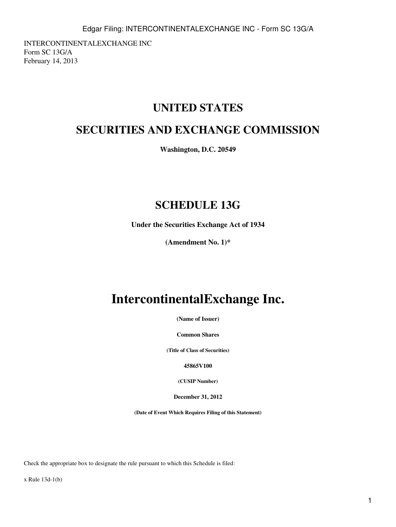INTERCONTINENTALEXCHANGE INC Form SC 13G/A February 14, 2013

# **UNITED STATES**

# **SECURITIES AND EXCHANGE COMMISSION**

**Washington, D.C. 20549**

# **SCHEDULE 13G**

**Under the Securities Exchange Act of 1934**

**(Amendment No. 1)\***

# **IntercontinentalExchange Inc.**

**(Name of Issuer)**

**Common Shares**

**(Title of Class of Securities)**

**45865V100**

**(CUSIP Number)**

**December 31, 2012**

**(Date of Event Which Requires Filing of this Statement)**

Check the appropriate box to designate the rule pursuant to which this Schedule is filed:

x Rule 13d-1(b)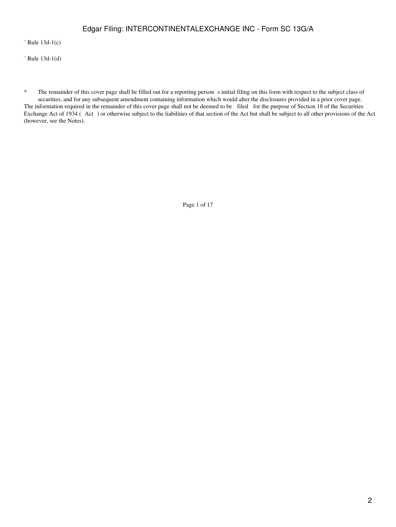## Edgar Filing: INTERCONTINENTALEXCHANGE INC - Form SC 13G/A

¨ Rule 13d-1(c)

¨ Rule 13d-1(d)

\* The remainder of this cover page shall be filled out for a reporting person s initial filing on this form with respect to the subject class of securities, and for any subsequent amendment containing information which would alter the disclosures provided in a prior cover page. The information required in the remainder of this cover page shall not be deemed to be filed for the purpose of Section 18 of the Securities Exchange Act of 1934 (Act) or otherwise subject to the liabilities of that section of the Act but shall be subject to all other provisions of the Act (however, see the Notes).

Page 1 of 17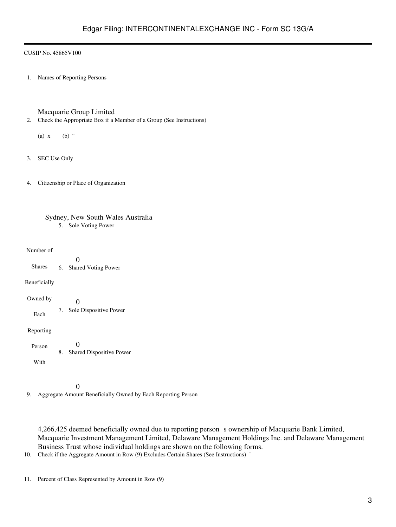1. Names of Reporting Persons

Macquarie Group Limited

2. Check the Appropriate Box if a Member of a Group (See Instructions)

(a)  $x$  (b)  $\dddot{ }$ 

- 3. SEC Use Only
- 4. Citizenship or Place of Organization

| Sydney, New South Wales Australia |  |
|-----------------------------------|--|
| 5. Sole Voting Power              |  |

Number of

Shares Beneficially Owned by Each Reporting Person With 0 6. Shared Voting Power  $\theta$ 7. Sole Dispositive Power 0 8. Shared Dispositive Power

 $\theta$ 

9. Aggregate Amount Beneficially Owned by Each Reporting Person

4,266,425 deemed beneficially owned due to reporting persons ownership of Macquarie Bank Limited, Macquarie Investment Management Limited, Delaware Management Holdings Inc. and Delaware Management Business Trust whose individual holdings are shown on the following forms.

10. Check if the Aggregate Amount in Row (9) Excludes Certain Shares (See Instructions) <sup>"</sup>

11. Percent of Class Represented by Amount in Row (9)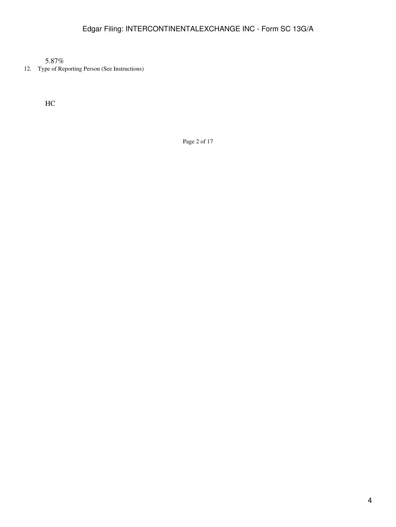5.87%

12. Type of Reporting Person (See Instructions)

HC

Page 2 of 17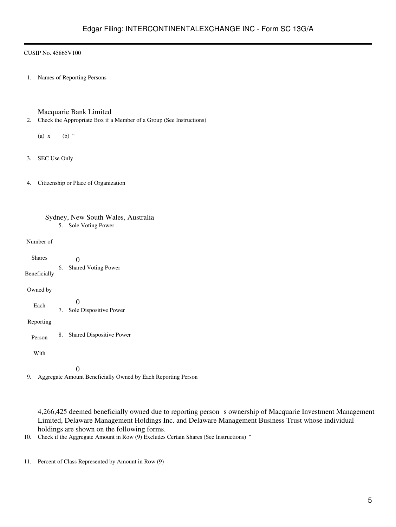1. Names of Reporting Persons

Macquarie Bank Limited

- 2. Check the Appropriate Box if a Member of a Group (See Instructions)
	- (a)  $x$  (b)  $\dddot{ }$
- 3. SEC Use Only
- 4. Citizenship or Place of Organization

| Sydney, New South Wales, Australia |  |
|------------------------------------|--|
| 5. Sole Voting Power               |  |

Number of

| <b>Shares</b> |    |                                    |
|---------------|----|------------------------------------|
| Beneficially  | 6. | <b>Shared Voting Power</b>         |
| Owned by      |    |                                    |
| Each          | 7. | $\Omega$<br>Sole Dispositive Power |
| Reporting     |    |                                    |
| Person        | 8. | <b>Shared Dispositive Power</b>    |
| With          |    |                                    |
|               |    |                                    |

9. Aggregate Amount Beneficially Owned by Each Reporting Person

4,266,425 deemed beneficially owned due to reporting person s ownership of Macquarie Investment Management Limited, Delaware Management Holdings Inc. and Delaware Management Business Trust whose individual holdings are shown on the following forms.

10. Check if the Aggregate Amount in Row (9) Excludes Certain Shares (See Instructions) "

11. Percent of Class Represented by Amount in Row (9)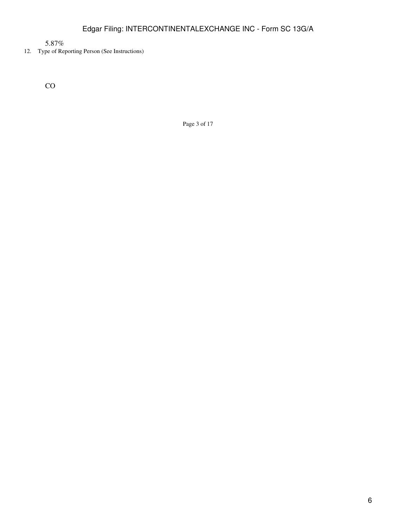5.87%

12. Type of Reporting Person (See Instructions)

CO

Page 3 of 17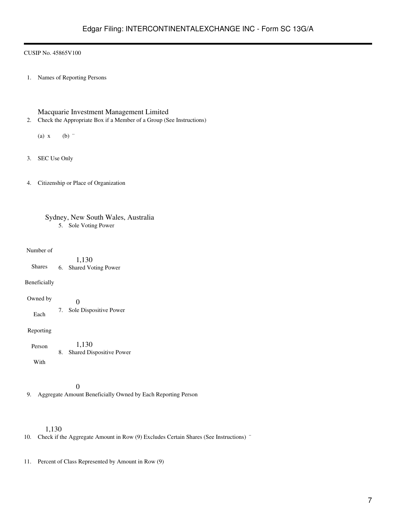1. Names of Reporting Persons

Macquarie Investment Management Limited

2. Check the Appropriate Box if a Member of a Group (See Instructions)

(a)  $x$  (b)  $\dddot{ }$ 

- 3. SEC Use Only
- 4. Citizenship or Place of Organization

| Sydney, New South Wales, Australia |
|------------------------------------|
| 5. Sole Voting Power               |

## Number of

Shares 1,130 6. Shared Voting Power

Beneficially

Owned by Each  $\overline{0}$ 7. Sole Dispositive Power

Reporting

| Person | 1.130                       |
|--------|-----------------------------|
|        | 8. Shared Dispositive Power |
| With   |                             |

0

9. Aggregate Amount Beneficially Owned by Each Reporting Person

## 1,130

10. Check if the Aggregate Amount in Row (9) Excludes Certain Shares (See Instructions) "

11. Percent of Class Represented by Amount in Row (9)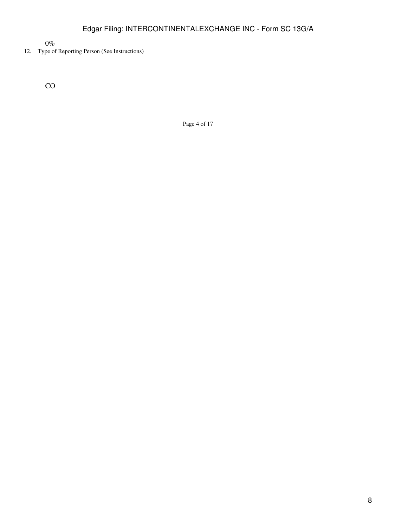$0\%$ 

## 12. Type of Reporting Person (See Instructions)

CO

Page 4 of 17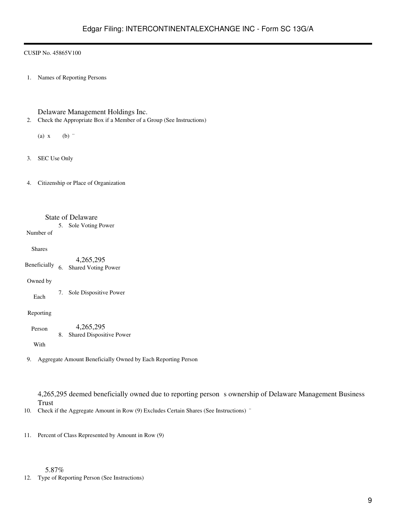1. Names of Reporting Persons

Delaware Management Holdings Inc.

2. Check the Appropriate Box if a Member of a Group (See Instructions)

(a)  $x$  (b)  $\dddot{ }$ 

3. SEC Use Only

4. Citizenship or Place of Organization

## State of Delaware

5. Sole Voting Power

Number of

Shares

Beneficially 4,265,295 6. Shared Voting Power

Owned by

Each

7. Sole Dispositive Power

Reporting

Person 4,265,295 8. Shared Dispositive Power

With

9. Aggregate Amount Beneficially Owned by Each Reporting Person

4,265,295 deemed beneficially owned due to reporting person s ownership of Delaware Management Business Trust

10. Check if the Aggregate Amount in Row (9) Excludes Certain Shares (See Instructions) "

11. Percent of Class Represented by Amount in Row (9)

5.87%

12. Type of Reporting Person (See Instructions)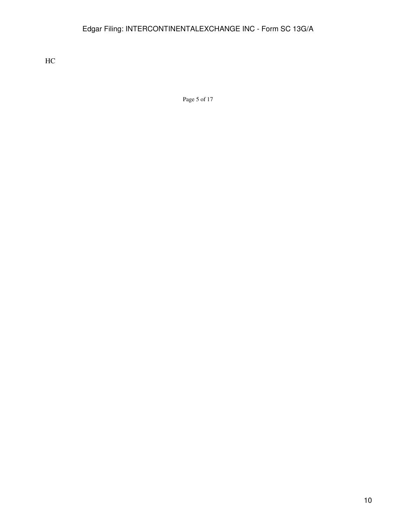HC

Page 5 of 17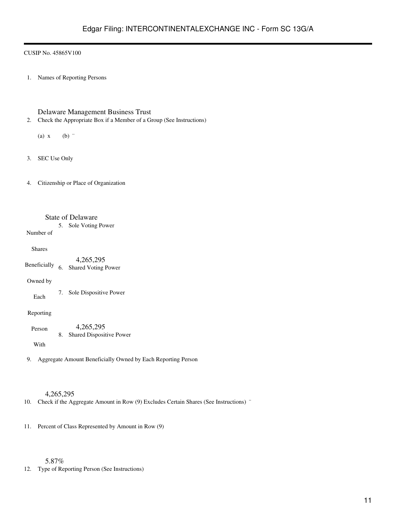1. Names of Reporting Persons

Delaware Management Business Trust

2. Check the Appropriate Box if a Member of a Group (See Instructions)

(a)  $x$  (b)  $\dddot{ }$ 

3. SEC Use Only

4. Citizenship or Place of Organization

## State of Delaware

5. Sole Voting Power

Number of

## Shares

Beneficially 4,265,295 6. Shared Voting Power

## Owned by

Each

7. Sole Dispositive Power

## Reporting

Person 4,265,295 8. Shared Dispositive Power

With

9. Aggregate Amount Beneficially Owned by Each Reporting Person

## 4,265,295

10. Check if the Aggregate Amount in Row (9) Excludes Certain Shares (See Instructions) "

11. Percent of Class Represented by Amount in Row (9)

## 5.87%

12. Type of Reporting Person (See Instructions)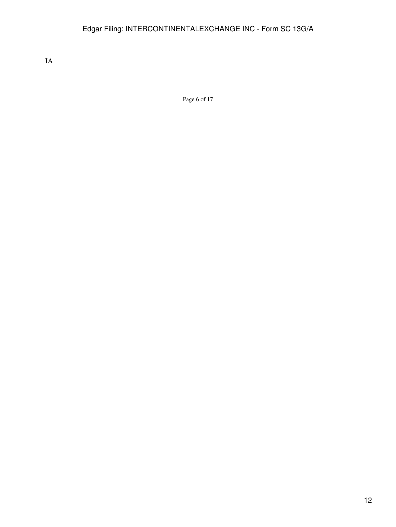IA

Page 6 of 17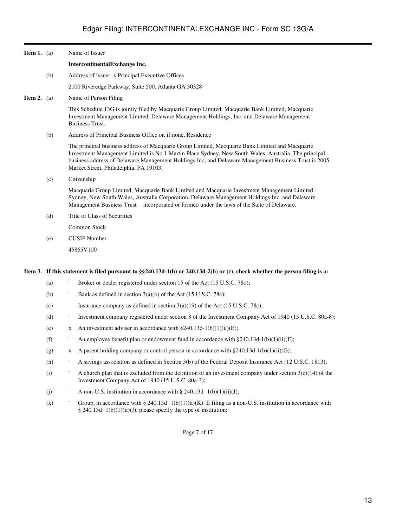| <b>Item 1.</b> (a) |     | Name of Issuer                                                                                                                                                                                                                                                                                                                                            |
|--------------------|-----|-----------------------------------------------------------------------------------------------------------------------------------------------------------------------------------------------------------------------------------------------------------------------------------------------------------------------------------------------------------|
|                    |     | IntercontinentalExchange Inc.                                                                                                                                                                                                                                                                                                                             |
|                    | (b) | Address of Issuer s Principal Executive Offices                                                                                                                                                                                                                                                                                                           |
|                    |     | 2100 Riveredge Parkway, Suite 500, Atlanta GA 30328                                                                                                                                                                                                                                                                                                       |
| <b>Item 2.</b> (a) |     | Name of Person Filing                                                                                                                                                                                                                                                                                                                                     |
|                    |     | This Schedule 13G is jointly filed by Macquarie Group Limited, Macquarie Bank Limited, Macquarie<br>Investment Management Limited, Delaware Management Holdings, Inc. and Delaware Management<br><b>Business Trust.</b>                                                                                                                                   |
|                    | (b) | Address of Principal Business Office or, if none, Residence                                                                                                                                                                                                                                                                                               |
|                    |     | The principal business address of Macquarie Group Limited, Macquarie Bank Limited and Macquarie<br>Investment Management Limited is No.1 Martin Place Sydney, New South Wales, Australia. The principal<br>business address of Delaware Management Holdings Inc, and Delaware Management Business Trust is 2005<br>Market Street, Philadelphia, PA 19103. |
|                    | (c) | Citizenship                                                                                                                                                                                                                                                                                                                                               |
|                    |     | Macquarie Group Limited, Macquarie Bank Limited and Macquarie Investment Management Limited -<br>Sydney, New South Wales, Australia Corporation. Delaware Management Holdings Inc. and Delaware<br>Management Business Trust incorporated or formed under the laws of the State of Delaware.                                                              |
|                    | (d) | Title of Class of Securities                                                                                                                                                                                                                                                                                                                              |
|                    |     | Common Stock                                                                                                                                                                                                                                                                                                                                              |
|                    | (e) | <b>CUSIP</b> Number                                                                                                                                                                                                                                                                                                                                       |
|                    |     | 45865V100                                                                                                                                                                                                                                                                                                                                                 |
|                    |     |                                                                                                                                                                                                                                                                                                                                                           |

#### **Item 3. If this statement is filed pursuant to §§240.13d-1(b) or 240.13d-2(b) or (c), check whether the person filing is a:**

- (a) Broker or dealer registered under section 15 of the Act (15 U.S.C. 780);
- (b) Bank as defined in section  $3(a)(6)$  of the Act (15 U.S.C. 78c);
- (c)  $\blacksquare$  Insurance company as defined in section 3(a)(19) of the Act (15 U.S.C. 78c);
- (d) ¨ Investment company registered under section 8 of the Investment Company Act of 1940 (15 U.S.C. 80a-8);
- (e) x An investment adviser in accordance with  $\S 240.13d-1(b)(1)(ii)(E)$ ;
- (f)  $\therefore$  An employee benefit plan or endowment fund in accordance with §240.13d-1(b)(1)(ii)(F);
- (g)  $x \in A$  parent holding company or control person in accordance with §240.13d-1(b)(1)(ii)(G);
- (h) <sup>"</sup> A savings association as defined in Section 3(b) of the Federal Deposit Insurance Act (12 U.S.C. 1813);
- (i)  $\therefore$  A church plan that is excluded from the definition of an investment company under section 3(c)(14) of the Investment Company Act of 1940 (15 U.S.C. 80a-3);
- (j)  $\qquad \qquad$  A non-U.S. institution in accordance with § 240.13d 1(b)(1)(ii)(J);
- (k) <sup>"</sup> Group, in accordance with § 240.13d  $1(b)(1)(ii)(K)$ . If filing as a non-U.S. institution in accordance with § 240.13d 1(b)(1)(ii)(J), please specify the type of institution:

Page 7 of 17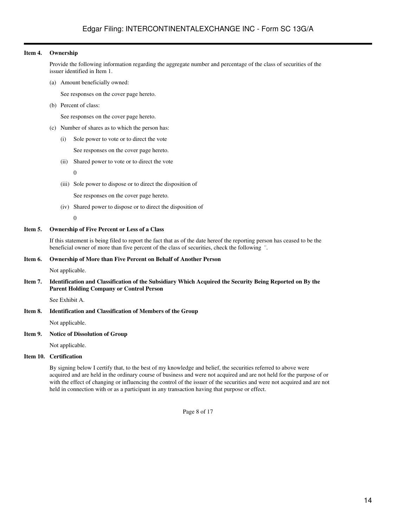### **Item 4. Ownership**

Provide the following information regarding the aggregate number and percentage of the class of securities of the issuer identified in Item 1.

(a) Amount beneficially owned:

See responses on the cover page hereto.

(b) Percent of class:

See responses on the cover page hereto.

- (c) Number of shares as to which the person has:
	- (i) Sole power to vote or to direct the vote

See responses on the cover page hereto.

(ii) Shared power to vote or to direct the vote

 $\overline{0}$ 

(iii) Sole power to dispose or to direct the disposition of

See responses on the cover page hereto.

(iv) Shared power to dispose or to direct the disposition of

0

### **Item 5. Ownership of Five Percent or Less of a Class**

If this statement is being filed to report the fact that as of the date hereof the reporting person has ceased to be the beneficial owner of more than five percent of the class of securities, check the following ¨.

### **Item 6. Ownership of More than Five Percent on Behalf of Another Person**

Not applicable.

### **Item 7. Identification and Classification of the Subsidiary Which Acquired the Security Being Reported on By the Parent Holding Company or Control Person**

See Exhibit A.

## **Item 8. Identification and Classification of Members of the Group**

Not applicable.

## **Item 9. Notice of Dissolution of Group**

Not applicable.

## **Item 10. Certification**

By signing below I certify that, to the best of my knowledge and belief, the securities referred to above were acquired and are held in the ordinary course of business and were not acquired and are not held for the purpose of or with the effect of changing or influencing the control of the issuer of the securities and were not acquired and are not held in connection with or as a participant in any transaction having that purpose or effect.

Page 8 of 17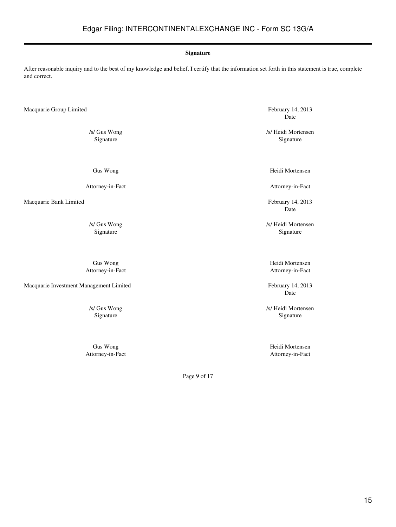#### **Signature**

After reasonable inquiry and to the best of my knowledge and belief, I certify that the information set forth in this statement is true, complete and correct.

Macquarie Group Limited February 14, 2013

Gus Wong

Attorney-in-Fact

Macquarie Bank Limited February 14, 2013

Macquarie Investment Management Limited February 14, 2013

Date

/s/ Gus Wong /s/ Heidi Mortensen<br>Signature /signature /signature /signature /signature /signature /signature /signature /signature /signature /signature /signature /signature /signature /signature /signature /signature /si Signature

Heidi Mortensen

Attorney-in-Fact

Date

/s/ Gus Wong /s/ Heidi Mortensen Signature Signature Signature Signature Signature Signature Signature Signature Signature Signature Signature Signature Signature Signature Signature Signature Signature Signature Signature Signature Signature Signature Si

Gus Wong Heidi Mortensen Attorney-in-Fact Attorney-in-Fact

Date

/s/ Gus Wong /s/ Gus Wong /s/ Gus Wong /s/ Gus Wong /s/ Heidi Mortensen Signature Signature Signature Signature Signature Signature Signature Signature Signature Signature Signature Signature Signature Signature Signature Signature Signature Signature Signature Signature Signature Signature Si

Gus Wong Heidi Mortensen Attorney-in-Fact Attorney-in-Fact

Page 9 of 17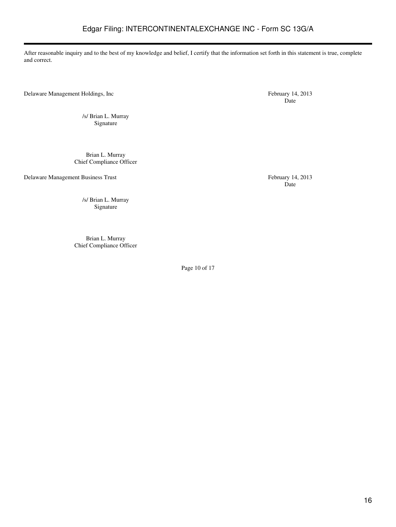After reasonable inquiry and to the best of my knowledge and belief, I certify that the information set forth in this statement is true, complete and correct.

Delaware Management Holdings, Inc February 14, 2013

/s/ Brian L. Murray Signature

Brian L. Murray Chief Compliance Officer

Delaware Management Business Trust February 14, 2013

Date

Date

/s/ Brian L. Murray Signature

Brian L. Murray Chief Compliance Officer

Page 10 of 17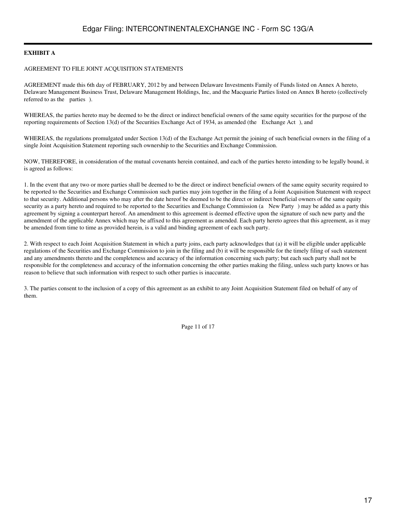## **EXHIBIT A**

#### AGREEMENT TO FILE JOINT ACQUISITION STATEMENTS

AGREEMENT made this 6th day of FEBRUARY, 2012 by and between Delaware Investments Family of Funds listed on Annex A hereto, Delaware Management Business Trust, Delaware Management Holdings, Inc, and the Macquarie Parties listed on Annex B hereto (collectively referred to as the parties).

WHEREAS, the parties hereto may be deemed to be the direct or indirect beneficial owners of the same equity securities for the purpose of the reporting requirements of Section 13(d) of the Securities Exchange Act of 1934, as amended (the Exchange Act), and

WHEREAS, the regulations promulgated under Section 13(d) of the Exchange Act permit the joining of such beneficial owners in the filing of a single Joint Acquisition Statement reporting such ownership to the Securities and Exchange Commission.

NOW, THEREFORE, in consideration of the mutual covenants herein contained, and each of the parties hereto intending to be legally bound, it is agreed as follows:

1. In the event that any two or more parties shall be deemed to be the direct or indirect beneficial owners of the same equity security required to be reported to the Securities and Exchange Commission such parties may join together in the filing of a Joint Acquisition Statement with respect to that security. Additional persons who may after the date hereof be deemed to be the direct or indirect beneficial owners of the same equity security as a party hereto and required to be reported to the Securities and Exchange Commission (a New Party) may be added as a party this agreement by signing a counterpart hereof. An amendment to this agreement is deemed effective upon the signature of such new party and the amendment of the applicable Annex which may be affixed to this agreement as amended. Each party hereto agrees that this agreement, as it may be amended from time to time as provided herein, is a valid and binding agreement of each such party.

2. With respect to each Joint Acquisition Statement in which a party joins, each party acknowledges that (a) it will be eligible under applicable regulations of the Securities and Exchange Commission to join in the filing and (b) it will be responsible for the timely filing of such statement and any amendments thereto and the completeness and accuracy of the information concerning such party; but each such party shall not be responsible for the completeness and accuracy of the information concerning the other parties making the filing, unless such party knows or has reason to believe that such information with respect to such other parties is inaccurate.

3. The parties consent to the inclusion of a copy of this agreement as an exhibit to any Joint Acquisition Statement filed on behalf of any of them.

Page 11 of 17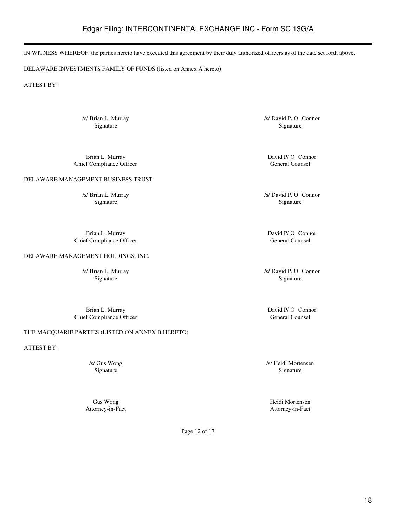## Edgar Filing: INTERCONTINENTALEXCHANGE INC - Form SC 13G/A

IN WITNESS WHEREOF, the parties hereto have executed this agreement by their duly authorized officers as of the date set forth above.

DELAWARE INVESTMENTS FAMILY OF FUNDS (listed on Annex A hereto)

ATTEST BY:

/s/ Brian L. Murray /s/ David P. O Connor

Brian L. Murray David P/ O Connor<br>
External Counsel of Compliance Officer<br>
Seneral Counsel Chief Compliance Officer

DELAWARE MANAGEMENT BUSINESS TRUST

Brian L. Murray David P/ O Connor Chief Compliance Officer General Counsel General Counsel

DELAWARE MANAGEMENT HOLDINGS, INC.

Signature Signature Signature Signature Signature Signature Signature Signature Signature Signature Signature Signature Signature Signature Signature Signature Signature Signature Signature Signature Signature Signature Si

Brian L. Murray David P/ O Connor<br>
External Counsel Counsel Counsel Counsel<br>
Separate Counsel Chief Compliance Officer

THE MACQUARIE PARTIES (LISTED ON ANNEX B HERETO)

ATTEST BY:

Signature Signature Signature Signature Signature Signature Signature Signature Signature Signature Signature Signature Signature Signature Signature Signature Signature Signature Signature Signature Signature Signature Si

/s/ Brian L. Murray /s/ David P. O Connor Signature Signature Signature Signature Signature Signature Signature Signature Signature

/s/ Brian L. Murray /s/ David P. O Connor

/s/ Gus Wong /s/ Heidi Mortensen Signature Signature Signature Signature Signature Signature Signature Signature Signature Signature Signature Signature Signature Signature Signature Signature Signature Signature Signature Signature Signature Signature Si

Gus Wong Heidi Mortensen Attorney-in-Fact Attorney-in-Fact

Page 12 of 17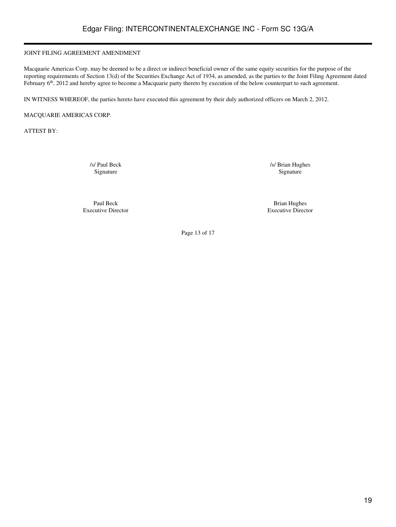## JOINT FILING AGREEMENT AMENDMENT

Macquarie Americas Corp. may be deemed to be a direct or indirect beneficial owner of the same equity securities for the purpose of the reporting requirements of Section 13(d) of the Securities Exchange Act of 1934, as amended, as the parties to the Joint Filing Agreement dated February 6<sup>th</sup>, 2012 and hereby agree to become a Macquarie party thereto by execution of the below counterpart to such agreement.

IN WITNESS WHEREOF, the parties hereto have executed this agreement by their duly authorized officers on March 2, 2012.

MACQUARIE AMERICAS CORP.

ATTEST BY:

/s/ Paul Beck /s/ Brian Hughes Signature Signature Signature Signature Signature Signature Signature Signature Signature Signature Signature Signature Signature Signature Signature Signature Signature Signature Signature Signature Signature Signature Si

Paul Beck Brian Hughes Executive Director Executive Director

Page 13 of 17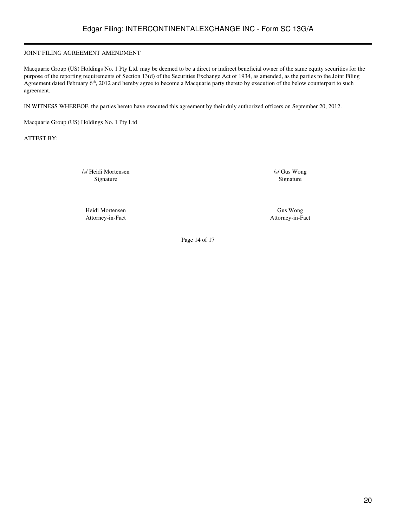## JOINT FILING AGREEMENT AMENDMENT

Macquarie Group (US) Holdings No. 1 Pty Ltd. may be deemed to be a direct or indirect beneficial owner of the same equity securities for the purpose of the reporting requirements of Section 13(d) of the Securities Exchange Act of 1934, as amended, as the parties to the Joint Filing Agreement dated February 6<sup>th</sup>, 2012 and hereby agree to become a Macquarie party thereto by execution of the below counterpart to such agreement.

IN WITNESS WHEREOF, the parties hereto have executed this agreement by their duly authorized officers on September 20, 2012.

Macquarie Group (US) Holdings No. 1 Pty Ltd

ATTEST BY:

/s/ Heidi Mortensen /s/ Gus Wong Signature Signature Signature Signature Signature Signature Signature Signature Signature Signature Signature Signature Signature Signature Signature Signature Signature Signature Signature Signature Signature Signature Si

Heidi Mortensen Gus Wong Attorney-in-Fact Attorney-in-Fact

Page 14 of 17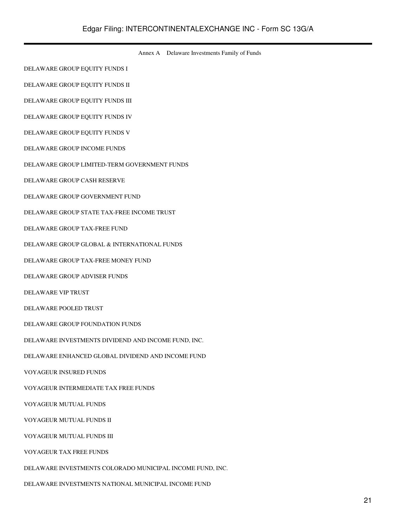Annex A Delaware Investments Family of Funds

DELAWARE GROUP EQUITY FUNDS I

DELAWARE GROUP EQUITY FUNDS II

DELAWARE GROUP EQUITY FUNDS III

DELAWARE GROUP EQUITY FUNDS IV

DELAWARE GROUP EQUITY FUNDS V

DELAWARE GROUP INCOME FUNDS

DELAWARE GROUP LIMITED-TERM GOVERNMENT FUNDS

DELAWARE GROUP CASH RESERVE

DELAWARE GROUP GOVERNMENT FUND

DELAWARE GROUP STATE TAX-FREE INCOME TRUST

DELAWARE GROUP TAX-FREE FUND

DELAWARE GROUP GLOBAL & INTERNATIONAL FUNDS

DELAWARE GROUP TAX-FREE MONEY FUND

DELAWARE GROUP ADVISER FUNDS

DELAWARE VIP TRUST

DELAWARE POOLED TRUST

DELAWARE GROUP FOUNDATION FUNDS

DELAWARE INVESTMENTS DIVIDEND AND INCOME FUND, INC.

DELAWARE ENHANCED GLOBAL DIVIDEND AND INCOME FUND

VOYAGEUR INSURED FUNDS

VOYAGEUR INTERMEDIATE TAX FREE FUNDS

VOYAGEUR MUTUAL FUNDS

VOYAGEUR MUTUAL FUNDS II

VOYAGEUR MUTUAL FUNDS III

VOYAGEUR TAX FREE FUNDS

DELAWARE INVESTMENTS COLORADO MUNICIPAL INCOME FUND, INC.

DELAWARE INVESTMENTS NATIONAL MUNICIPAL INCOME FUND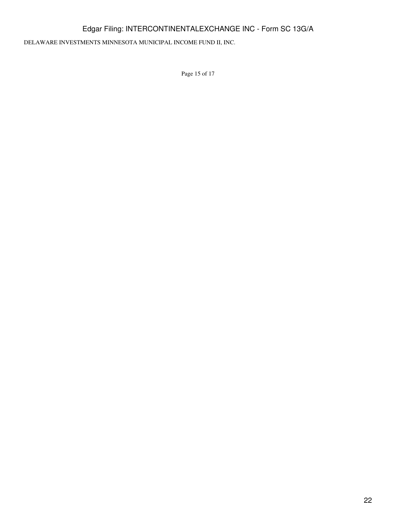## Edgar Filing: INTERCONTINENTALEXCHANGE INC - Form SC 13G/A

DELAWARE INVESTMENTS MINNESOTA MUNICIPAL INCOME FUND II, INC.

Page 15 of 17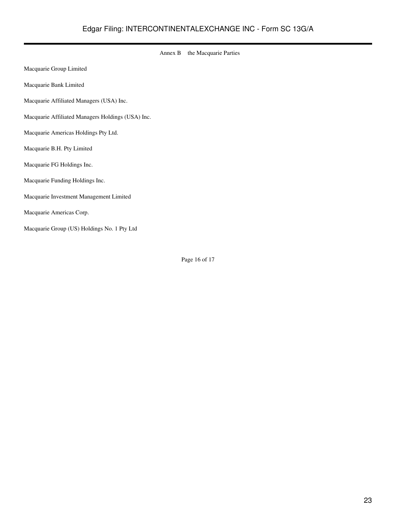|                                                   | Annex B | the Macquarie Parties |
|---------------------------------------------------|---------|-----------------------|
| Macquarie Group Limited                           |         |                       |
| Macquarie Bank Limited                            |         |                       |
| Macquarie Affiliated Managers (USA) Inc.          |         |                       |
| Macquarie Affiliated Managers Holdings (USA) Inc. |         |                       |
| Macquarie Americas Holdings Pty Ltd.              |         |                       |
| Macquarie B.H. Pty Limited                        |         |                       |
| Macquarie FG Holdings Inc.                        |         |                       |
| Macquarie Funding Holdings Inc.                   |         |                       |
| Macquarie Investment Management Limited           |         |                       |
| Macquarie Americas Corp.                          |         |                       |
| Macquarie Group (US) Holdings No. 1 Pty Ltd       |         |                       |

Page 16 of 17